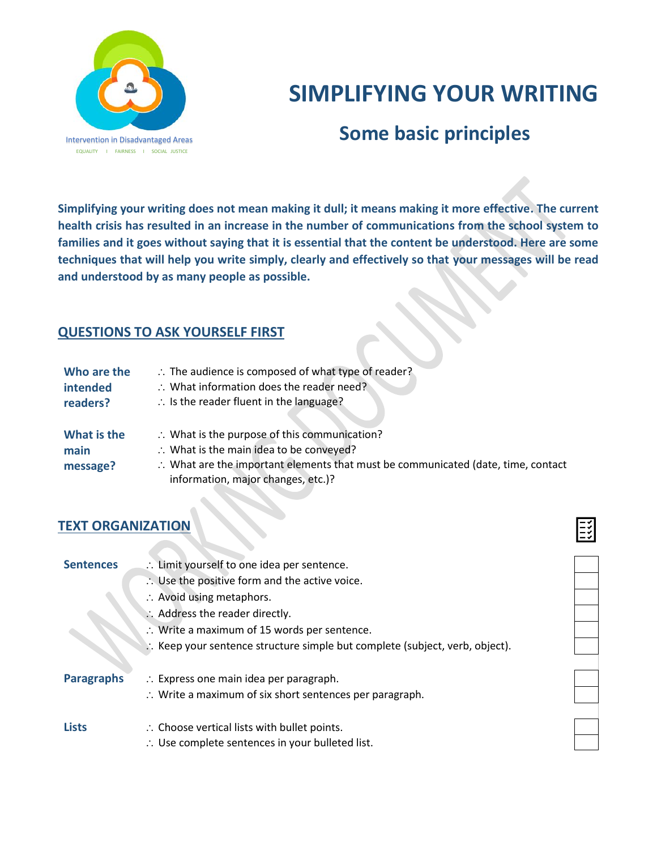

# **SIMPLIFYING YOUR WRITING**

# **Some basic principles**

**Simplifying your writing does not mean making it dull; it means making it more effective. The current health crisis has resulted in an increase in the number of communications from the school system to families and it goes without saying that it is essential that the content be understood. Here are some techniques that will help you write simply, clearly and effectively so that your messages will be read and understood by as many people as possible.**

# **QUESTIONS TO ASK YOURSELF FIRST**

| Who are the<br>intended<br>readers? | $\therefore$ The audience is composed of what type of reader?<br>$\therefore$ What information does the reader need?<br>$\therefore$ Is the reader fluent in the language?               |
|-------------------------------------|------------------------------------------------------------------------------------------------------------------------------------------------------------------------------------------|
| What is the<br>main                 | $\therefore$ What is the purpose of this communication?<br>:. What is the main idea to be conveyed?<br>:. What are the important elements that must be communicated (date, time, contact |
| message?                            | information, major changes, etc.)?                                                                                                                                                       |

## **TEXT ORGANIZATION**

| :. Limit yourself to one idea per sentence.                                 |  |
|-----------------------------------------------------------------------------|--|
| $\therefore$ Use the positive form and the active voice.                    |  |
| $\therefore$ Avoid using metaphors.                                         |  |
| :. Address the reader directly.                                             |  |
| $\therefore$ Write a maximum of 15 words per sentence.                      |  |
| : Keep your sentence structure simple but complete (subject, verb, object). |  |
|                                                                             |  |
| $\therefore$ Express one main idea per paragraph.                           |  |
| $\therefore$ Write a maximum of six short sentences per paragraph.          |  |
|                                                                             |  |
| $\therefore$ Choose vertical lists with bullet points.                      |  |
| :. Use complete sentences in your bulleted list.                            |  |
|                                                                             |  |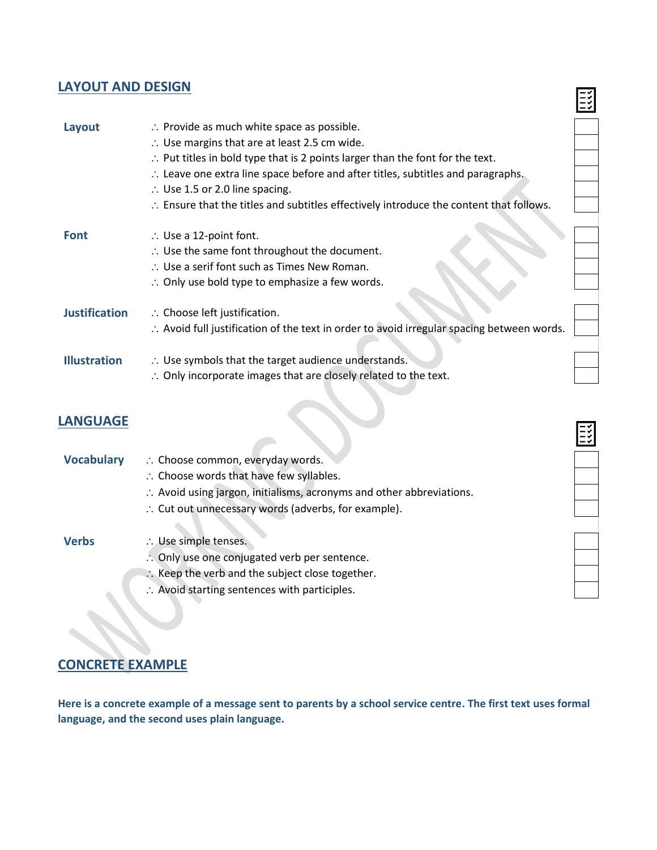# **LAYOUT AND DESIGN**

| Layout               | $\therefore$ Provide as much white space as possible.<br>$\therefore$ Use margins that are at least 2.5 cm wide.<br>$\therefore$ Put titles in bold type that is 2 points larger than the font for the text.<br>$\therefore$ Leave one extra line space before and after titles, subtitles and paragraphs.<br>$\therefore$ Use 1.5 or 2.0 line spacing.<br>$\therefore$ Ensure that the titles and subtitles effectively introduce the content that follows. |  |
|----------------------|--------------------------------------------------------------------------------------------------------------------------------------------------------------------------------------------------------------------------------------------------------------------------------------------------------------------------------------------------------------------------------------------------------------------------------------------------------------|--|
| <b>Font</b>          | $\therefore$ Use a 12-point font.<br>$\therefore$ Use the same font throughout the document.<br>$\therefore$ Use a serif font such as Times New Roman.<br>$\therefore$ Only use bold type to emphasize a few words.                                                                                                                                                                                                                                          |  |
| <b>Justification</b> | $\therefore$ Choose left justification.<br>:. Avoid full justification of the text in order to avoid irregular spacing between words.                                                                                                                                                                                                                                                                                                                        |  |
| <b>Illustration</b>  | $\therefore$ Use symbols that the target audience understands.<br>$\therefore$ Only incorporate images that are closely related to the text.                                                                                                                                                                                                                                                                                                                 |  |

 $\mathbf{E}$ 

**HILL** 

# **LANGUAGE**

| <b>Vocabulary</b> | : Choose common, everyday words.                                     |
|-------------------|----------------------------------------------------------------------|
|                   | :. Choose words that have few syllables.                             |
|                   | : Avoid using jargon, initialisms, acronyms and other abbreviations. |
|                   | $\therefore$ Cut out unnecessary words (adverbs, for example).       |
|                   |                                                                      |
| <b>Verbs</b>      | $\therefore$ Use simple tenses.                                      |
|                   | :. Only use one conjugated verb per sentence.                        |
|                   | $\therefore$ Keep the verb and the subject close together.           |
|                   | :. Avoid starting sentences with participles.                        |

# **CONCRETE EXAMPLE**

**Here is a concrete example of a message sent to parents by a school service centre. The first text uses formal language, and the second uses plain language.**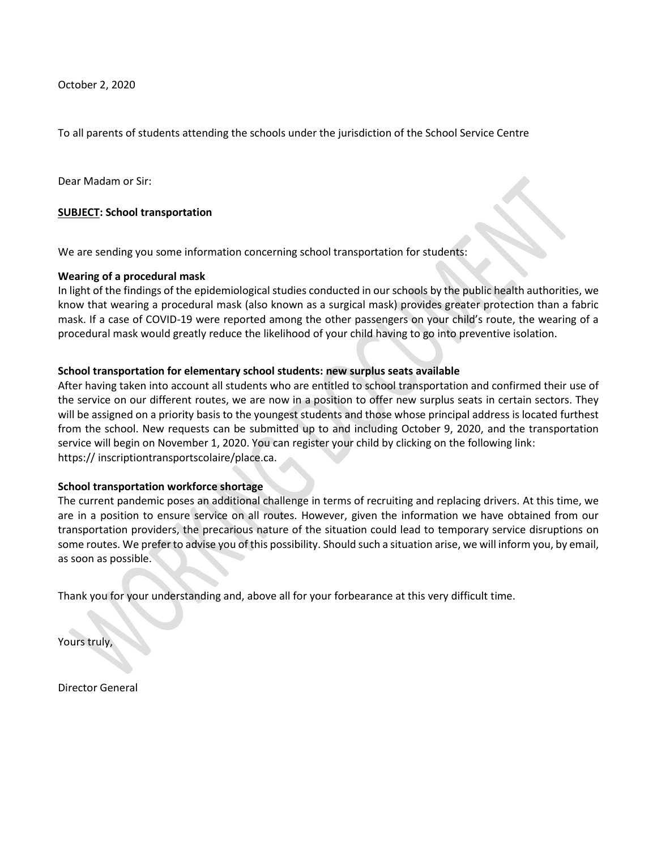October 2, 2020

To all parents of students attending the schools under the jurisdiction of the School Service Centre

Dear Madam or Sir:

#### **SUBJECT: School transportation**

We are sending you some information concerning school transportation for students:

#### **Wearing of a procedural mask**

In light of the findings of the epidemiological studies conducted in our schools by the public health authorities, we know that wearing a procedural mask (also known as a surgical mask) provides greater protection than a fabric mask. If a case of COVID-19 were reported among the other passengers on your child's route, the wearing of a procedural mask would greatly reduce the likelihood of your child having to go into preventive isolation.

#### **School transportation for elementary school students: new surplus seats available**

After having taken into account all students who are entitled to school transportation and confirmed their use of the service on our different routes, we are now in a position to offer new surplus seats in certain sectors. They will be assigned on a priority basis to the youngest students and those whose principal address is located furthest from the school. New requests can be submitted up to and including October 9, 2020, and the transportation service will begin on November 1, 2020. You can register your child by clicking on the following link: https:// inscriptiontransportscolaire/place.ca.

#### **School transportation workforce shortage**

The current pandemic poses an additional challenge in terms of recruiting and replacing drivers. At this time, we are in a position to ensure service on all routes. However, given the information we have obtained from our transportation providers, the precarious nature of the situation could lead to temporary service disruptions on some routes. We prefer to advise you of this possibility. Should such a situation arise, we will inform you, by email, as soon as possible.

Thank you for your understanding and, above all for your forbearance at this very difficult time.

Yours truly,

Director General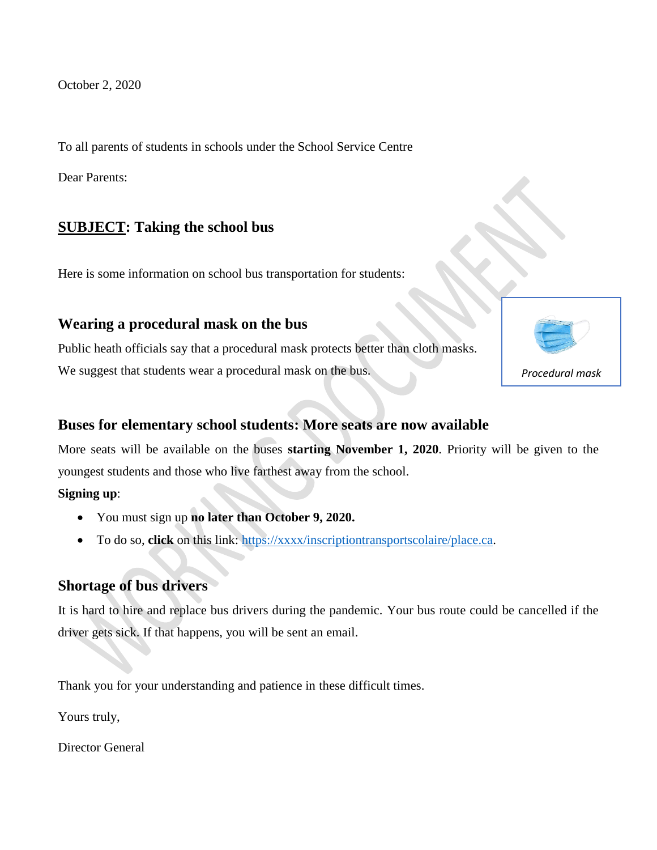October 2, 2020

To all parents of students in schools under the School Service Centre

Dear Parents:

# **SUBJECT: Taking the school bus**

Here is some information on school bus transportation for students:

## **Wearing a procedural mask on the bus**

Public heath officials say that a procedural mask protects better than cloth masks. We suggest that students wear a procedural mask on the bus.

# *Procedural mask*

### **Buses for elementary school students: More seats are now available**

More seats will be available on the buses **starting November 1, 2020**. Priority will be given to the youngest students and those who live farthest away from the school.

**Signing up**:

- You must sign up **no later than October 9, 2020.**
- To do so, **click** on this link: [https://xxxx/inscriptiontransportscolaire/place.ca.](https://xxxx/inscriptiontransportscolaire/place.ca)

# **Shortage of bus drivers**

It is hard to hire and replace bus drivers during the pandemic. Your bus route could be cancelled if the driver gets sick. If that happens, you will be sent an email.

Thank you for your understanding and patience in these difficult times.

Yours truly,

Director General